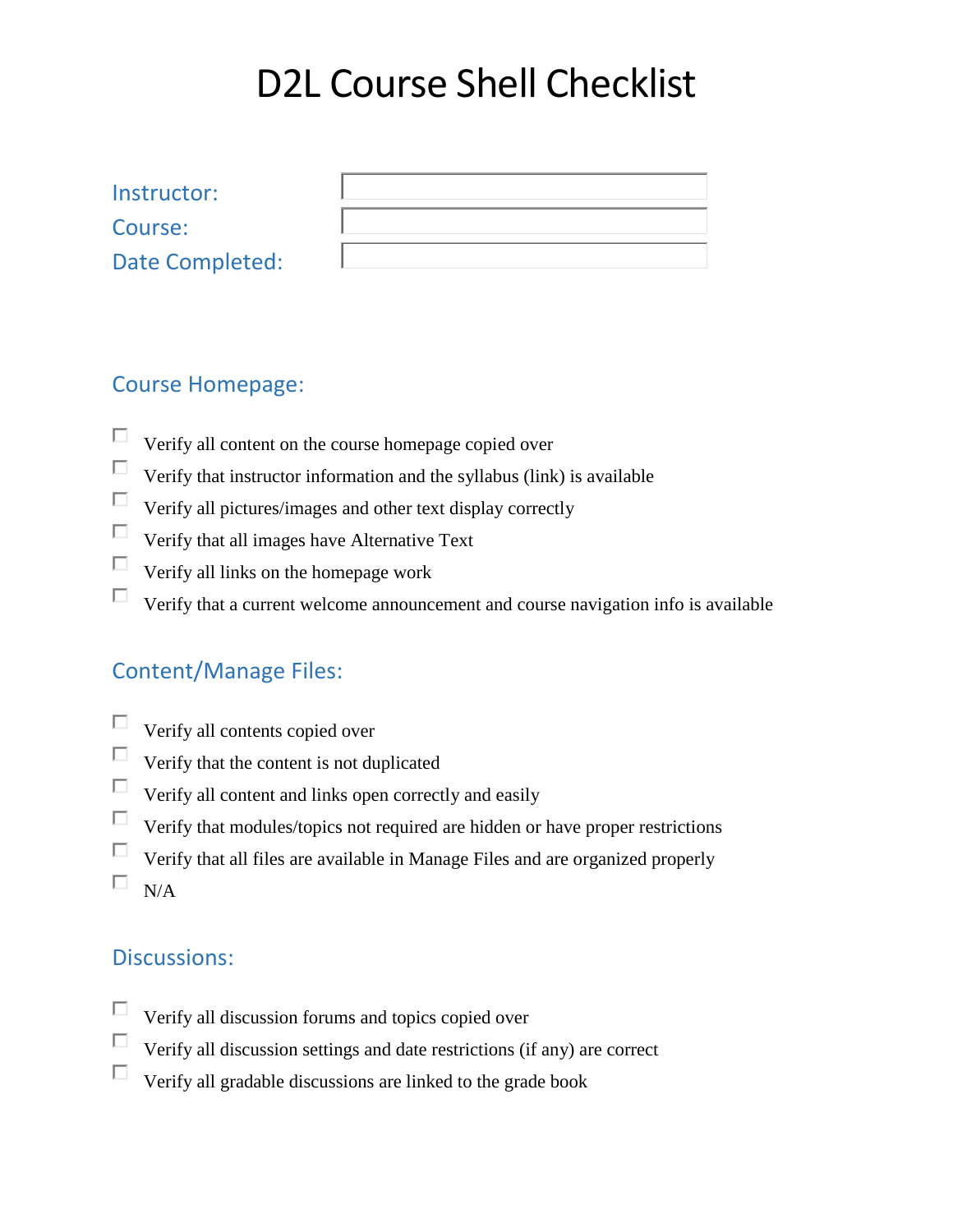# D2L Course Shell Checklist

| Instructor:     |  |
|-----------------|--|
| Course:         |  |
| Date Completed: |  |

#### Course Homepage:

- П Verify all content on the course homepage copied over
- $\Box$ Verify that instructor information and the syllabus (link) is available
- $\Box$ Verify all pictures/images and other text display correctly
- $\Box$  Verify that all images have Alternative Text
- $\Box$ Verify all links on the homepage work
- П. Verify that a current welcome announcement and course navigation info is available

#### Content/Manage Files:

- $\Box$ Verify all contents copied over
- $\Box$ Verify that the content is not duplicated
- $\Box$  Verify all content and links open correctly and easily
- $\Box$  Verify that modules/topics not required are hidden or have proper restrictions
- $\Box$  Verify that all files are available in Manage Files and are organized properly
- $\square$  N/A

#### Discussions:

- $\Box$ Verify all discussion forums and topics copied over
- $\Box$ Verify all discussion settings and date restrictions (if any) are correct
- $\Box$ Verify all gradable discussions are linked to the grade book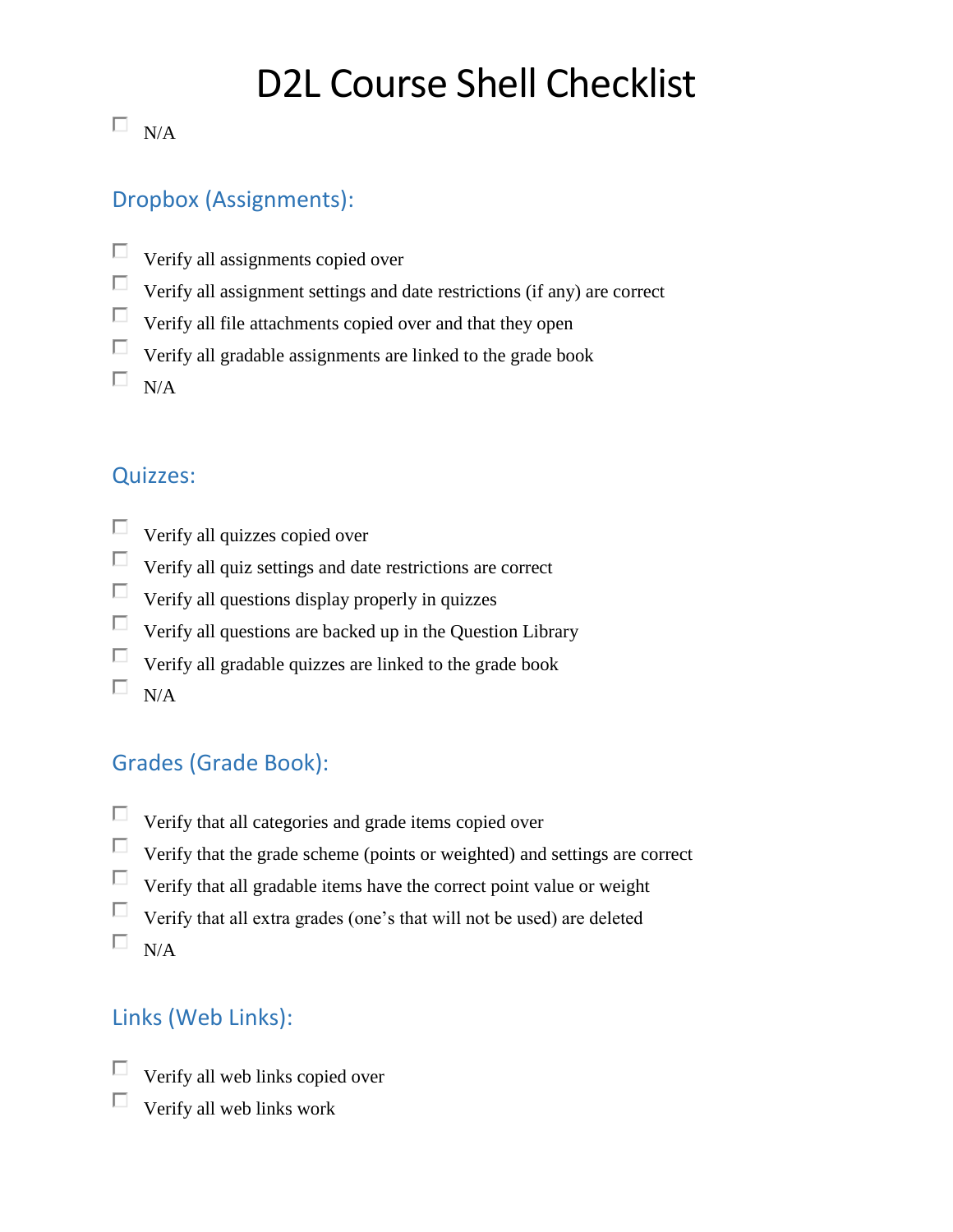# D2L Course Shell Checklist

## $\square$  N/A

### Dropbox (Assignments):

- $\Box$ Verify all assignments copied over
- $\Box$ Verify all assignment settings and date restrictions (if any) are correct
- $\Box$ Verify all file attachments copied over and that they open
- П. Verify all gradable assignments are linked to the grade book
- $\Box$  $N/A$

#### Quizzes:

- П Verify all quizzes copied over
- $\Box$ Verify all quiz settings and date restrictions are correct
- $\Box$ Verify all questions display properly in quizzes
- $\Box$ Verify all questions are backed up in the Question Library
- П. Verify all gradable quizzes are linked to the grade book
- $\Box$  $N/A$

## Grades (Grade Book):

- $\Box$ Verify that all categories and grade items copied over
- $\Box$ Verify that the grade scheme (points or weighted) and settings are correct
- $\Box$ Verify that all gradable items have the correct point value or weight
- П Verify that all extra grades (one's that will not be used) are deleted
- $\square$  N/A

## Links (Web Links):

- П Verify all web links copied over
- П Verify all web links work